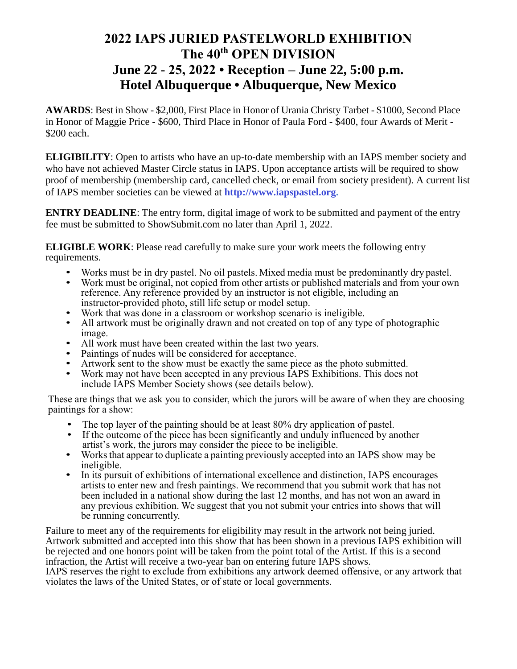# **2022 IAPS JURIED PASTELWORLD EXHIBITION The 40th OPEN DIVISION June 22 - 25, 2022 • Reception – June 22, 5:00 p.m. Hotel Albuquerque • Albuquerque, New Mexico**

**AWARDS**: Best in Show - \$2,000, First Place in Honor of Urania Christy Tarbet - \$1000, Second Place in Honor of Maggie Price - \$600, Third Place in Honor of Paula Ford - \$400, four Awards of Merit - \$200 each.

**ELIGIBILITY**: Open to artists who have an up-to-date membership with an IAPS member society and who have not achieved Master Circle status in IAPS. Upon acceptance artists will be required to show proof of membership (membership card, cancelled check, or email from society president). A current list of IAPS member societies can be viewed at **[http://www.iapspastel.org.](http://www.iapspastel.org/)**

**ENTRY DEADLINE**: The entry form, digital image of work to be submitted and payment of the entry fee must be submitted to ShowSubmit.com no later than April 1, 2022.

**ELIGIBLE WORK**: Please read carefully to make sure your work meets the following entry requirements.

- Works must be in dry pastel. No oil pastels. Mixed media must be predominantly dry pastel.<br>• Work must be original, not copied from other artists or published materials and from your ow
- Work must be original, not copied from other artists or published materials and from your own reference. Any reference provided by an instructor is not eligible, including an instructor-provided photo, still life setup or model setup.
- Work that was done in a classroom or workshop scenario is ineligible.<br>• All artwork must be originally drawn and not created on top of any type
- All artwork must be originally drawn and not created on top of any type of photographic image.
- All work must have been created within the last two years.
- Paintings of nudes will be considered for acceptance.
- Artwork sent to the show must be exactly the same piece as the photo submitted.
- Work may not have been accepted in any previous IAPS Exhibitions. This does not include IAPS Member Society shows (see details below).

These are things that we ask you to consider, which the jurors will be aware of when they are choosing paintings for a show:

- The top layer of the painting should be at least 80% dry application of pastel.
- If the outcome of the piece has been significantly and unduly influenced by another artist's work, the jurors may consider the piece to be ineligible.
- Works that appear to duplicate a painting previously accepted into an IAPS show may be ineligible.
- In its pursuit of exhibitions of international excellence and distinction, IAPS encourages artists to enter new and fresh paintings. We recommend that you submit work that has not been included in a national show during the last 12 months, and has not won an award in any previous exhibition. We suggest that you not submit your entries into shows that will be running concurrently.

Failure to meet any of the requirements for eligibility may result in the artwork not being juried. Artwork submitted and accepted into this show that has been shown in a previous IAPS exhibition will be rejected and one honors point will be taken from the point total of the Artist. If this is a second infraction, the Artist will receive a two-year ban on entering future IAPS shows.

IAPS reserves the right to exclude from exhibitions any artwork deemed offensive, or any artwork that violates the laws of the United States, or of state or local governments.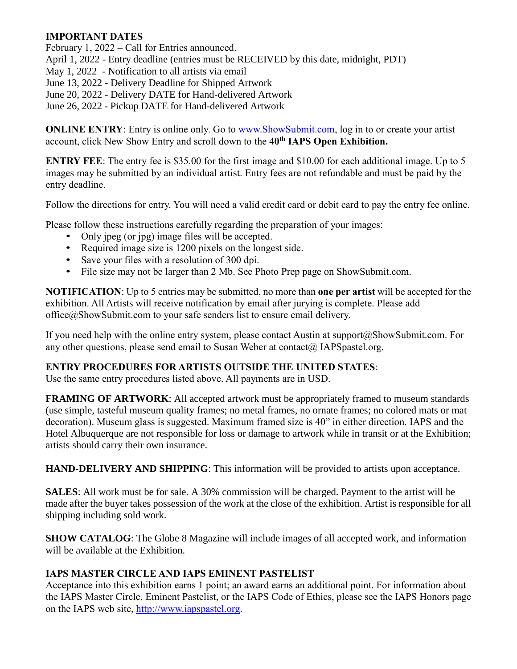### **IMPORTANT DATES**

February 1, 2022 – Call for Entries announced.

April 1, 2022 - Entry deadline (entries must be RECEIVED by this date, midnight, PDT)

May 1, 2022 - Notification to all artists via email

June 13, 2022 - Delivery Deadline for Shipped Artwork

June 20, 2022 - Delivery DATE for Hand-delivered Artwork

June 26, 2022 - Pickup DATE for Hand-delivered Artwork

**ONLINE ENTRY:** Entry is online only. Go to [www.ShowSubmit.com,](http://www.showsubmit.com/) log in to or create your artist account, click New Show Entry and scroll down to the **40th IAPS Open Exhibition.**

**ENTRY FEE**: The entry fee is \$35.00 for the first image and \$10.00 for each additional image. Up to 5 images may be submitted by an individual artist. Entry fees are not refundable and must be paid by the entry deadline.

Follow the directions for entry. You will need a valid credit card or debit card to pay the entry fee online.

Please follow these instructions carefully regarding the preparation of your images:

- Only jpeg (or jpg) image files will be accepted.
- Required image size is 1200 pixels on the longest side.
- Save your files with a resolution of 300 dpi.
- File size may not be larger than 2 Mb. See Photo Prep page on ShowSubmit.com.

**NOTIFICATION**: Up to 5 entries may be submitted, no more than **one per artist** will be accepted for the exhibition. All Artists will receive notification by email after jurying is complete. Please add office@ShowSubmit.com to your safe senders list to ensure email delivery.

If you need help with the online entry system, please contact Austin at support@ShowSubmit.com. For any other questions, please send email to Susan Weber at contact $(\widehat{\omega})$  IAPSpastel.org.

# **ENTRY PROCEDURES FOR ARTISTS OUTSIDE THE UNITED STATES**:

Use the same entry procedures listed above. All payments are in USD.

**FRAMING OF ARTWORK**: All accepted artwork must be appropriately framed to museum standards (use simple, tasteful museum quality frames; no metal frames, no ornate frames; no colored mats or mat decoration). Museum glass is suggested. Maximum framed size is 40" in either direction. IAPS and the Hotel Albuquerque are not responsible for loss or damage to artwork while in transit or at the Exhibition; artists should carry their own insurance.

**HAND-DELIVERY AND SHIPPING**: This information will be provided to artists upon acceptance.

**SALES**: All work must be for sale. A 30% commission will be charged. Payment to the artist will be made after the buyer takes possession of the work at the close of the exhibition. Artist is responsible for all shipping including sold work.

**SHOW CATALOG**: The Globe 8 Magazine will include images of all accepted work, and information will be available at the Exhibition.

#### **IAPS MASTER CIRCLE AND IAPS EMINENT PASTELIST**

Acceptance into this exhibition earns 1 point; an award earns an additional point. For information about the IAPS Master Circle, Eminent Pastelist, or the IAPS Code of Ethics, please see the IAPS Honors page on the IAPS web site, [http://www.iapspastel.org.](http://www.iapspastel.org/)